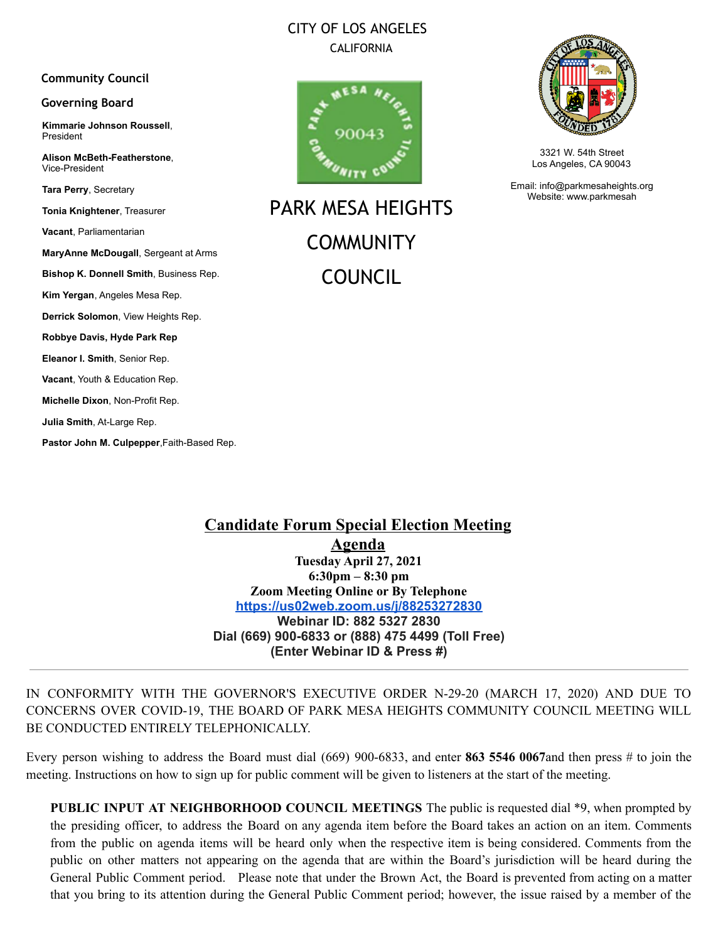# CITY OF LOS ANGELES **CALIFORNIA**

#### **Community Council**

#### **Governing Board**

**Kimmarie Johnson Roussell**, President

**Alison McBeth-Featherstone**, Vice-President

**Tara Perry**, Secretary

**Tonia Knightener**, Treasurer

**Vacant**, Parliamentarian

**MaryAnne McDougall**, Sergeant at Arms

**Bishop K. Donnell Smith**, Business Rep.

**Kim Yergan**, Angeles Mesa Rep.

**Derrick Solomon**, View Heights Rep.

**Robbye Davis, Hyde Park Rep**

**Eleanor I. Smith**, Senior Rep.

**Vacant**, Youth & Education Rep.

**Michelle Dixon**, Non-Profit Rep.

**Julia Smith**, At-Large Rep.

**Pastor John M. Culpepper**,Faith-Based Rep.



PARK MESA HEIGHTS **COMMUNITY** COUNCIL



3321 W. 54th Street Los Angeles, CA 90043

Email: info@parkmesaheights.org Website: www.parkmesah

**Candidate Forum Special Election Meeting Agenda Tuesday April 27, 2021 6:30pm – 8:30 pm Zoom Meeting Online or By Telephone <https://us02web.zoom.us/j/88253272830> Webinar ID: 882 5327 2830 Dial (669) 900-6833 or (888) 475 4499 (Toll Free) (Enter Webinar ID & Press #)**

IN CONFORMITY WITH THE GOVERNOR'S EXECUTIVE ORDER N-29-20 (MARCH 17, 2020) AND DUE TO CONCERNS OVER COVID-19, THE BOARD OF PARK MESA HEIGHTS COMMUNITY COUNCIL MEETING WILL BE CONDUCTED ENTIRELY TELEPHONICALLY.

Every person wishing to address the Board must dial (669) 900-6833, and enter **863 5546 0067**and then press # to join the meeting. Instructions on how to sign up for public comment will be given to listeners at the start of the meeting.

**PUBLIC INPUT AT NEIGHBORHOOD COUNCIL MEETINGS** The public is requested dial \*9, when prompted by the presiding officer, to address the Board on any agenda item before the Board takes an action on an item. Comments from the public on agenda items will be heard only when the respective item is being considered. Comments from the public on other matters not appearing on the agenda that are within the Board's jurisdiction will be heard during the General Public Comment period. Please note that under the Brown Act, the Board is prevented from acting on a matter that you bring to its attention during the General Public Comment period; however, the issue raised by a member of the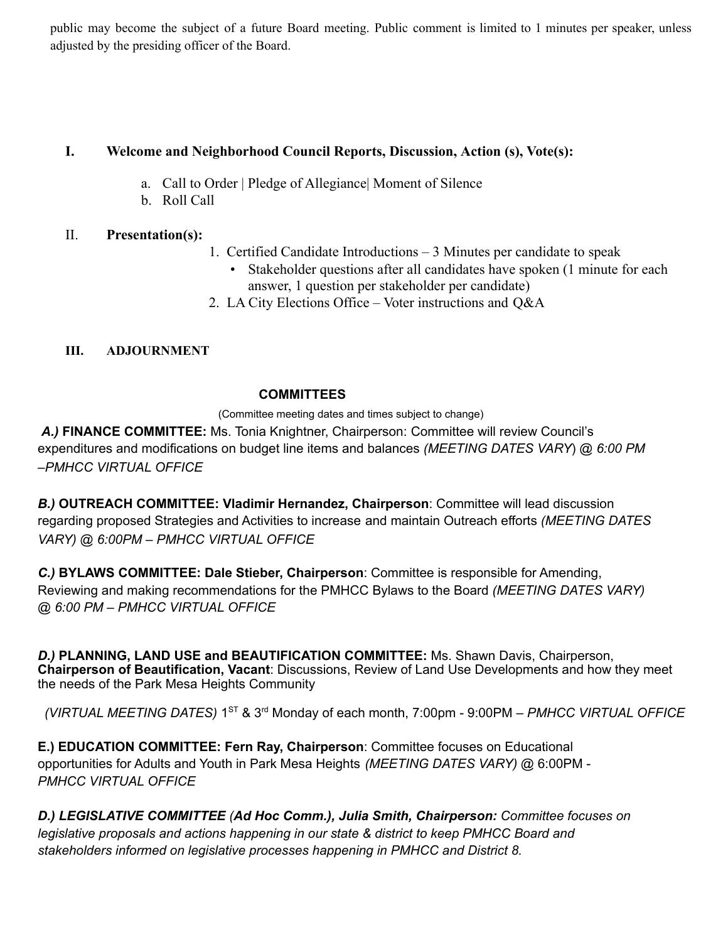public may become the subject of a future Board meeting. Public comment is limited to 1 minutes per speaker, unless adjusted by the presiding officer of the Board.

## **I. Welcome and Neighborhood Council Reports, Discussion, Action (s), Vote(s):**

- a. Call to Order | Pledge of Allegiance| Moment of Silence
- b. Roll Call

# II. **Presentation(s):**

- 1. Certified Candidate Introductions 3 Minutes per candidate to speak
	- Stakeholder questions after all candidates have spoken (1 minute for each answer, 1 question per stakeholder per candidate)
- 2. LA City Elections Office Voter instructions and Q&A

# **III. ADJOURNMENT**

### **COMMITTEES**

(Committee meeting dates and times subject to change)

*A.)* **FINANCE COMMITTEE:** Ms. Tonia Knightner, Chairperson: Committee will review Council's expenditures and modifications on budget line items and balances *(MEETING DATES VARY*) @ *6:00 PM –PMHCC VIRTUAL OFFICE*

*B.)* **OUTREACH COMMITTEE: Vladimir Hernandez, Chairperson**: Committee will lead discussion regarding proposed Strategies and Activities to increase and maintain Outreach efforts *(MEETING DATES VARY) @ 6:00PM – PMHCC VIRTUAL OFFICE*

*C.)* **BYLAWS COMMITTEE: Dale Stieber, Chairperson**: Committee is responsible for Amending, Reviewing and making recommendations for the PMHCC Bylaws to the Board *(MEETING DATES VARY) @ 6:00 PM – PMHCC VIRTUAL OFFICE*

*D.)* **PLANNING, LAND USE and BEAUTIFICATION COMMITTEE:** Ms. Shawn Davis, Chairperson, **Chairperson of Beautification, Vacant**: Discussions, Review of Land Use Developments and how they meet the needs of the Park Mesa Heights Community

*(VIRTUAL MEETING DATES)* 1 ST & 3 rd Monday of each month, 7:00pm - 9:00PM *– PMHCC VIRTUAL OFFICE*

**E.) EDUCATION COMMITTEE: Fern Ray, Chairperson**: Committee focuses on Educational opportunities for Adults and Youth in Park Mesa Heights *(MEETING DATES VARY)* @ 6:00PM - *PMHCC VIRTUAL OFFICE*

*D.) LEGISLATIVE COMMITTEE (Ad Hoc Comm.), Julia Smith, Chairperson: Committee focuses on legislative proposals and actions happening in our state & district to keep PMHCC Board and stakeholders informed on legislative processes happening in PMHCC and District 8.*